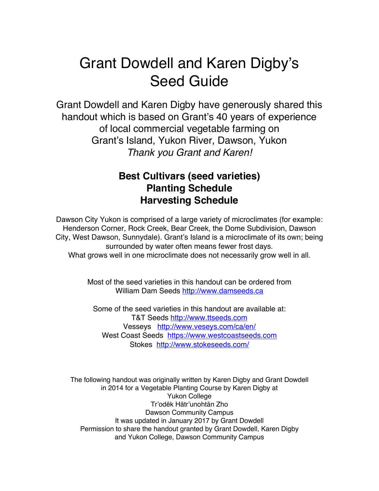# Grant Dowdell and Karen Digby's Seed Guide

Grant Dowdell and Karen Digby have generously shared this handout which is based on Grant's 40 years of experience of local commercial vegetable farming on Grant's Island, Yukon River, Dawson, Yukon *Thank you Grant and Karen!*

## **Best Cultivars (seed varieties) Planting Schedule Harvesting Schedule**

Dawson City Yukon is comprised of a large variety of microclimates (for example: Henderson Corner, Rock Creek, Bear Creek, the Dome Subdivision, Dawson City, West Dawson, Sunnydale). Grant's Island is a microclimate of its own; being surrounded by water often means fewer frost days. What grows well in one microclimate does not necessarily grow well in all.

> Most of the seed varieties in this handout can be ordered from William Dam Seeds http://www.damseeds.ca

Some of the seed varieties in this handout are available at: T&T Seeds http://www.ttseeds.com Vesseys http://www.veseys.com/ca/en/ West Coast Seeds https://www.westcoastseeds.com Stokes http://www.stokeseeds.com/

The following handout was originally written by Karen Digby and Grant Dowdell in 2014 for a Vegetable Planting Course by Karen Digby at Yukon College Tr'odëk Hätr'unohtän Zho Dawson Community Campus It was updated in January 2017 by Grant Dowdell Permission to share the handout granted by Grant Dowdell, Karen Digby and Yukon College, Dawson Community Campus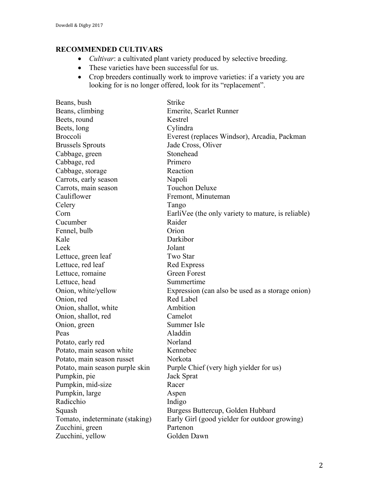### **RECOMMENDED CULTIVARS**

- *Cultivar*: a cultivated plant variety produced by selective breeding.
- These varieties have been successful for us.
- Crop breeders continually work to improve varieties: if a variety you are looking for is no longer offered, look for its "replacement".

| Beans, bush                     | <b>Strike</b>                                      |
|---------------------------------|----------------------------------------------------|
| Beans, climbing                 | Emerite, Scarlet Runner                            |
| Beets, round                    | Kestrel                                            |
| Beets, long                     | Cylindra                                           |
| <b>Broccoli</b>                 | Everest (replaces Windsor), Arcadia, Packman       |
| <b>Brussels Sprouts</b>         | Jade Cross, Oliver                                 |
| Cabbage, green                  | Stonehead                                          |
| Cabbage, red                    | Primero                                            |
| Cabbage, storage                | Reaction                                           |
| Carrots, early season           | Napoli                                             |
| Carrots, main season            | <b>Touchon Deluxe</b>                              |
| Cauliflower                     | Fremont, Minuteman                                 |
| Celery                          | Tango                                              |
| Corn                            | EarliVee (the only variety to mature, is reliable) |
| Cucumber                        | Raider                                             |
| Fennel, bulb                    | Orion                                              |
| Kale                            | Darkibor                                           |
| Leek                            | Jolant                                             |
| Lettuce, green leaf             | Two Star                                           |
| Lettuce, red leaf               | <b>Red Express</b>                                 |
| Lettuce, romaine                | <b>Green Forest</b>                                |
| Lettuce, head                   | Summertime                                         |
| Onion, white/yellow             | Expression (can also be used as a storage onion)   |
| Onion, red                      | Red Label                                          |
| Onion, shallot, white           | Ambition                                           |
| Onion, shallot, red             | Camelot                                            |
| Onion, green                    | Summer Isle                                        |
| Peas                            | Aladdin                                            |
| Potato, early red               | Norland                                            |
| Potato, main season white       | Kennebec                                           |
| Potato, main season russet      | Norkota                                            |
| Potato, main season purple skin | Purple Chief (very high yielder for us)            |
| Pumpkin, pie                    | Jack Sprat                                         |
| Pumpkin, mid-size               | Racer                                              |
| Pumpkin, large                  | Aspen                                              |
| Radicchio                       | Indigo                                             |
| Squash                          | Burgess Buttercup, Golden Hubbard                  |
| Tomato, indeterminate (staking) | Early Girl (good yielder for outdoor growing)      |
| Zucchini, green                 | Partenon                                           |
| Zucchini, yellow                | Golden Dawn                                        |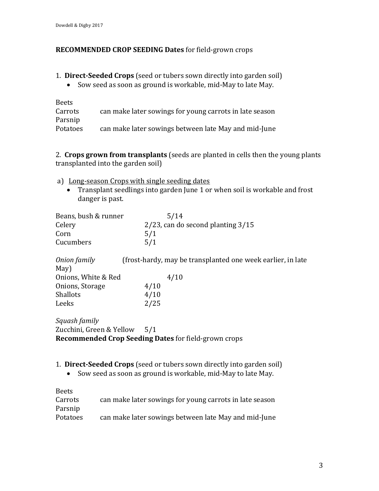#### **RECOMMENDED CROP SEEDING Dates for field-grown crops**

- 1. **Direct-Seeded Crops** (seed or tubers sown directly into garden soil)
	- Sow seed as soon as ground is workable, mid-May to late May.

| <b>Beets</b>    |                                                         |
|-----------------|---------------------------------------------------------|
| Carrots         | can make later sowings for young carrots in late season |
| Parsnip         |                                                         |
| <b>Potatoes</b> | can make later sowings between late May and mid-June    |

2. Crops grown from transplants (seeds are planted in cells then the young plants transplanted into the garden soil)

- a) Long-season Crops with single seeding dates
	- Transplant seedlings into garden June 1 or when soil is workable and frost danger is past.

| Beans, bush & runner         | 5/14                                                        |
|------------------------------|-------------------------------------------------------------|
| Celery                       | $2/23$ , can do second planting $3/15$                      |
| Corn                         | 5/1                                                         |
| Cucumbers                    | 5/1                                                         |
| Onion family                 | (frost-hardy, may be transplanted one week earlier, in late |
| May)                         |                                                             |
| Onions, White & Red          | 4/10                                                        |
| Onions, Storage              | 4/10                                                        |
| <b>Shallots</b>              | 4/10                                                        |
| Leeks                        | 2/25                                                        |
| Squash family                |                                                             |
| Zucchini, Green & Yellow 5/1 |                                                             |
|                              | <b>Recommended Crop Seeding Dates for field-grown crops</b> |
|                              |                                                             |

- 1. **Direct-Seeded Crops** (seed or tubers sown directly into garden soil)
	- Sow seed as soon as ground is workable, mid-May to late May.

| <b>Beets</b> |                                                         |
|--------------|---------------------------------------------------------|
| Carrots      | can make later sowings for young carrots in late season |
| Parsnip      |                                                         |
| Potatoes     | can make later sowings between late May and mid-June    |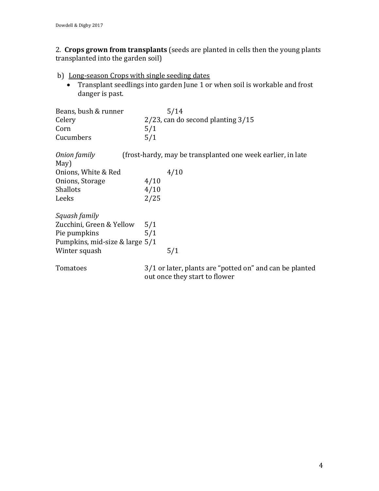2. Crops grown from transplants (seeds are planted in cells then the young plants transplanted into the garden soil)

- b) Long-season Crops with single seeding dates
	- Transplant seedlings into garden June 1 or when soil is workable and frost danger is past.

| Beans, bush & runner | 5/14                                   |
|----------------------|----------------------------------------|
| Celery               | $2/23$ , can do second planting $3/15$ |
| Corn                 | 5/1                                    |
| Cucumbers            | 5/1                                    |

| Onion family                   |      | (frost-hardy, may be transplanted one week earlier, in late                              |
|--------------------------------|------|------------------------------------------------------------------------------------------|
| May)                           |      |                                                                                          |
| Onions, White & Red            |      | 4/10                                                                                     |
| Onions, Storage                | 4/10 |                                                                                          |
| <b>Shallots</b>                | 4/10 |                                                                                          |
| Leeks                          | 2/25 |                                                                                          |
| Squash family                  |      |                                                                                          |
| Zucchini, Green & Yellow       | 5/1  |                                                                                          |
| Pie pumpkins                   | 5/1  |                                                                                          |
| Pumpkins, mid-size & large 5/1 |      |                                                                                          |
| Winter squash                  |      | 5/1                                                                                      |
| Tomatoes                       |      | 3/1 or later, plants are "potted on" and can be planted<br>out once they start to flower |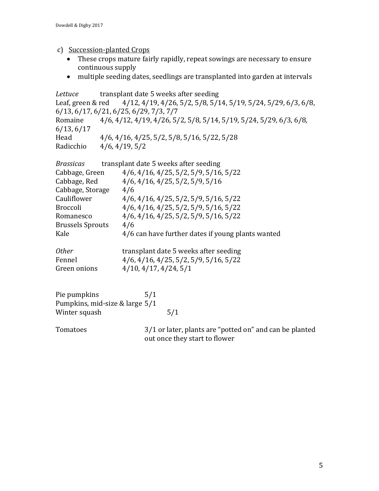- c) Succession-planted Crops
	- These crops mature fairly rapidly, repeat sowings are necessary to ensure continuous supply
	- multiple seeding dates, seedlings are transplanted into garden at intervals

| Lettuce                 | transplant date 5 weeks after seeding                                                    |
|-------------------------|------------------------------------------------------------------------------------------|
|                         | Leaf, green & red 4/12, 4/19, 4/26, 5/2, 5/8, 5/14, 5/19, 5/24, 5/29, 6/3, 6/8,          |
|                         | 6/13, 6/17, 6/21, 6/25, 6/29, 7/3, 7/7                                                   |
| Romaine                 | 4/6, 4/12, 4/19, 4/26, 5/2, 5/8, 5/14, 5/19, 5/24, 5/29, 6/3, 6/8,                       |
| 6/13, 6/17              |                                                                                          |
| Head                    | 4/6, 4/16, 4/25, 5/2, 5/8, 5/16, 5/22, 5/28                                              |
| Radicchio               | 4/6, 4/19, 5/2                                                                           |
| <b>Brassicas</b>        | transplant date 5 weeks after seeding                                                    |
| Cabbage, Green          | $4/6$ , $4/16$ , $4/25$ , $5/2$ , $5/9$ , $5/16$ , $5/22$                                |
| Cabbage, Red            | $4/6$ , $4/16$ , $4/25$ , $5/2$ , $5/9$ , $5/16$                                         |
| Cabbage, Storage        | 4/6                                                                                      |
| Cauliflower             | $4/6$ , $4/16$ , $4/25$ , $5/2$ , $5/9$ , $5/16$ , $5/22$                                |
| <b>Broccoli</b>         | $4/6$ , $4/16$ , $4/25$ , $5/2$ , $5/9$ , $5/16$ , $5/22$                                |
| Romanesco               | $4/6$ , $4/16$ , $4/25$ , $5/2$ , $5/9$ , $5/16$ , $5/22$                                |
| <b>Brussels Sprouts</b> | 4/6                                                                                      |
| Kale                    | 4/6 can have further dates if young plants wanted                                        |
| 0ther                   | transplant date 5 weeks after seeding                                                    |
| Fennel                  | $4/6$ , $4/16$ , $4/25$ , $5/2$ , $5/9$ , $5/16$ , $5/22$                                |
| Green onions            | $4/10$ , $4/17$ , $4/24$ , $5/1$                                                         |
|                         |                                                                                          |
| Pie pumpkins            | 5/1                                                                                      |
|                         | Pumpkins, mid-size & large 5/1                                                           |
| Winter squash           | 5/1                                                                                      |
| Tomatoes                | 3/1 or later, plants are "potted on" and can be planted<br>out once they start to flower |